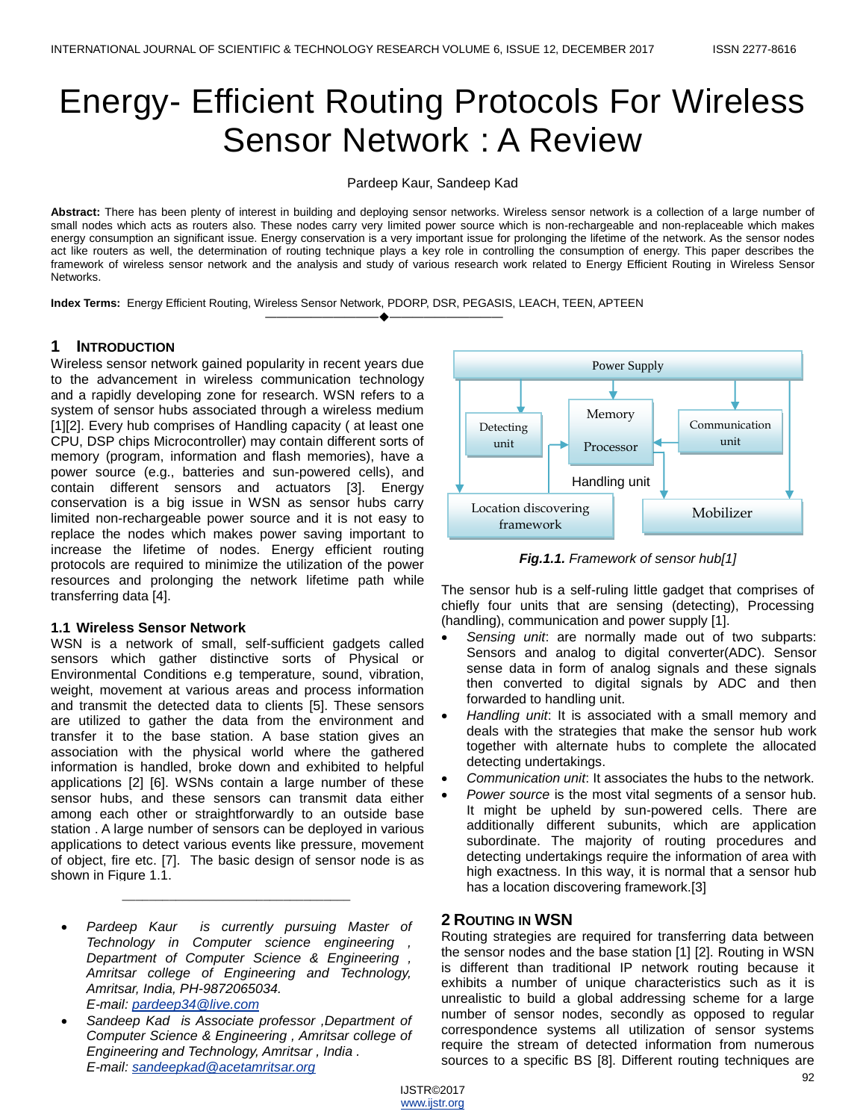# Energy- Efficient Routing Protocols For Wireless Sensor Network : A Review

Pardeep Kaur, Sandeep Kad

**Abstract:** There has been plenty of interest in building and deploying sensor networks. Wireless sensor network is a collection of a large number of small nodes which acts as routers also. These nodes carry very limited power source which is non-rechargeable and non-replaceable which makes energy consumption an significant issue. Energy conservation is a very important issue for prolonging the lifetime of the network. As the sensor nodes act like routers as well, the determination of routing technique plays a key role in controlling the consumption of energy. This paper describes the framework of wireless sensor network and the analysis and study of various research work related to Energy Efficient Routing in Wireless Sensor Networks.

**Index Terms:** Energy Efficient Routing, Wireless Sensor Network, PDORP, DSR, PEGASIS, LEACH, TEEN, APTEEN

————————————————————

# **1 INTRODUCTION**

Wireless sensor network gained popularity in recent years due to the advancement in wireless communication technology and a rapidly developing zone for research. WSN refers to a system of sensor hubs associated through a wireless medium [1][2]. Every hub comprises of Handling capacity (at least one CPU, DSP chips Microcontroller) may contain different sorts of memory (program, information and flash memories), have a power source (e.g., batteries and sun-powered cells), and contain different sensors and actuators [3]. Energy conservation is a big issue in WSN as sensor hubs carry limited non-rechargeable power source and it is not easy to replace the nodes which makes power saving important to increase the lifetime of nodes. Energy efficient routing protocols are required to minimize the utilization of the power resources and prolonging the network lifetime path while transferring data [4].

# **1.1 Wireless Sensor Network**

WSN is a network of small, self-sufficient gadgets called sensors which gather distinctive sorts of Physical or Environmental Conditions e.g temperature, sound, vibration, weight, movement at various areas and process information and transmit the detected data to clients [5]. These sensors are utilized to gather the data from the environment and transfer it to the base station. A base station gives an association with the physical world where the gathered information is handled, broke down and exhibited to helpful applications [2] [6]. WSNs contain a large number of these sensor hubs, and these sensors can transmit data either among each other or straightforwardly to an outside base station . A large number of sensors can be deployed in various applications to detect various events like pressure, movement of object, fire etc. [7]. The basic design of sensor node is as shown in Figure 1.1.

 *Pardeep Kaur is currently pursuing Master of Technology in Computer science engineering , Department of Computer Science & Engineering , Amritsar college of Engineering and Technology, Amritsar, India, PH-9872065034. E-mail: [pardeep34@live.com](mailto:pardeep34@live.com)*

\_\_\_\_\_\_\_\_\_\_\_\_\_\_\_\_\_\_\_\_\_\_\_\_\_\_\_\_\_\_\_\_\_\_

 *Sandeep Kad is Associate professor ,Department of Computer Science & Engineering , Amritsar college of Engineering and Technology, Amritsar , India . E-mail: [sandeepkad@acetamritsar.org](mailto:sandeepkad@acetamritsar.org)*



*Fig.1.1. Framework of sensor hub[1]*

The sensor hub is a self-ruling little gadget that comprises of chiefly four units that are sensing (detecting), Processing (handling), communication and power supply [1].

- *Sensing unit*: are normally made out of two subparts: Sensors and analog to digital converter(ADC). Sensor sense data in form of analog signals and these signals then converted to digital signals by ADC and then forwarded to handling unit.
- *Handling unit*: It is associated with a small memory and deals with the strategies that make the sensor hub work together with alternate hubs to complete the allocated detecting undertakings.
- *Communication unit*: It associates the hubs to the network.
- *Power source* is the most vital segments of a sensor hub. It might be upheld by sun-powered cells. There are additionally different subunits, which are application subordinate. The majority of routing procedures and detecting undertakings require the information of area with high exactness. In this way, it is normal that a sensor hub has a location discovering framework.[3]

# **2 ROUTING IN WSN**

Routing strategies are required for transferring data between the sensor nodes and the base station [1] [2]. Routing in WSN is different than traditional IP network routing because it exhibits a number of unique characteristics such as it is unrealistic to build a global addressing scheme for a large number of sensor nodes, secondly as opposed to regular correspondence systems all utilization of sensor systems require the stream of detected information from numerous sources to a specific BS [8]. Different routing techniques are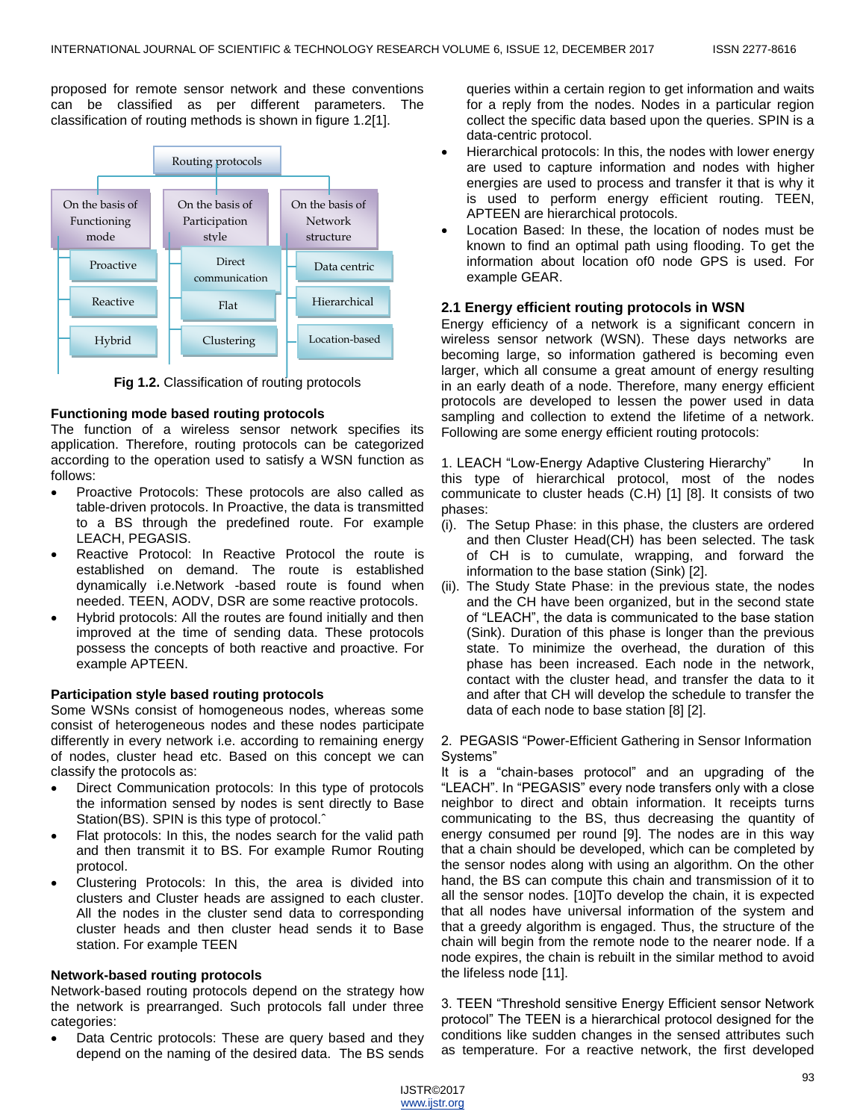proposed for remote sensor network and these conventions can be classified as per different parameters. The classification of routing methods is shown in figure 1.2[1].



**Fig 1.2.** Classification of routing protocols

# **Functioning mode based routing protocols**

The function of a wireless sensor network specifies its application. Therefore, routing protocols can be categorized according to the operation used to satisfy a WSN function as follows:

- Proactive Protocols: These protocols are also called as table-driven protocols. In Proactive, the data is transmitted to a BS through the predefined route. For example LEACH, PEGASIS.
- Reactive Protocol: In Reactive Protocol the route is established on demand. The route is established dynamically i.e.Network -based route is found when needed. TEEN, AODV, DSR are some reactive protocols.
- Hybrid protocols: All the routes are found initially and then improved at the time of sending data. These protocols possess the concepts of both reactive and proactive. For example APTEEN.

# **Participation style based routing protocols**

Some WSNs consist of homogeneous nodes, whereas some consist of heterogeneous nodes and these nodes participate differently in every network i.e. according to remaining energy of nodes, cluster head etc. Based on this concept we can classify the protocols as:

- Direct Communication protocols: In this type of protocols the information sensed by nodes is sent directly to Base Station(BS). SPIN is this type of protocol.ˆ
- Flat protocols: In this, the nodes search for the valid path and then transmit it to BS. For example Rumor Routing protocol.
- Clustering Protocols: In this, the area is divided into clusters and Cluster heads are assigned to each cluster. All the nodes in the cluster send data to corresponding cluster heads and then cluster head sends it to Base station. For example TEEN

#### **Network-based routing protocols**

Network-based routing protocols depend on the strategy how the network is prearranged. Such protocols fall under three categories:

 Data Centric protocols: These are query based and they depend on the naming of the desired data. The BS sends queries within a certain region to get information and waits for a reply from the nodes. Nodes in a particular region collect the specific data based upon the queries. SPIN is a data-centric protocol.

- Hierarchical protocols: In this, the nodes with lower energy are used to capture information and nodes with higher energies are used to process and transfer it that is why it is used to perform energy efficient routing. TEEN, APTEEN are hierarchical protocols.
- Location Based: In these, the location of nodes must be known to find an optimal path using flooding. To get the information about location of0 node GPS is used. For example GEAR.

# **2.1 Energy efficient routing protocols in WSN**

Energy efficiency of a network is a significant concern in wireless sensor network (WSN). These days networks are becoming large, so information gathered is becoming even larger, which all consume a great amount of energy resulting in an early death of a node. Therefore, many energy efficient protocols are developed to lessen the power used in data sampling and collection to extend the lifetime of a network. Following are some energy efficient routing protocols:

1. LEACH "Low-Energy Adaptive Clustering Hierarchy" In this type of hierarchical protocol, most of the nodes communicate to cluster heads (C.H) [1] [8]. It consists of two phases:

- (i). The Setup Phase: in this phase, the clusters are ordered and then Cluster Head(CH) has been selected. The task of CH is to cumulate, wrapping, and forward the information to the base station (Sink) [2].
- (ii). The Study State Phase: in the previous state, the nodes and the CH have been organized, but in the second state of "LEACH", the data is communicated to the base station (Sink). Duration of this phase is longer than the previous state. To minimize the overhead, the duration of this phase has been increased. Each node in the network, contact with the cluster head, and transfer the data to it and after that CH will develop the schedule to transfer the data of each node to base station [8] [2].

2. PEGASIS "Power-Efficient Gathering in Sensor Information Systems"

It is a "chain-bases protocol" and an upgrading of the "LEACH". In "PEGASIS" every node transfers only with a close neighbor to direct and obtain information. It receipts turns communicating to the BS, thus decreasing the quantity of energy consumed per round [9]. The nodes are in this way that a chain should be developed, which can be completed by the sensor nodes along with using an algorithm. On the other hand, the BS can compute this chain and transmission of it to all the sensor nodes. [10]To develop the chain, it is expected that all nodes have universal information of the system and that a greedy algorithm is engaged. Thus, the structure of the chain will begin from the remote node to the nearer node. If a node expires, the chain is rebuilt in the similar method to avoid the lifeless node [11].

3. TEEN "Threshold sensitive Energy Efficient sensor Network protocol" The TEEN is a hierarchical protocol designed for the conditions like sudden changes in the sensed attributes such as temperature. For a reactive network, the first developed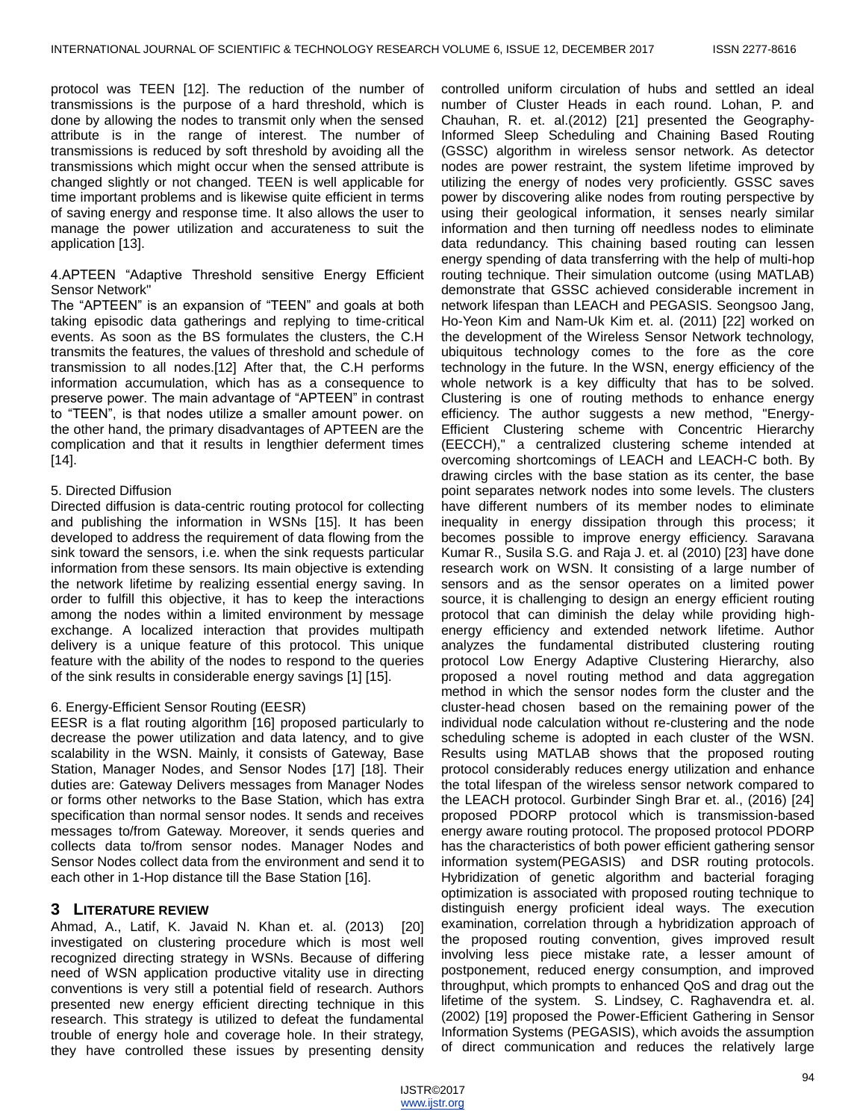protocol was TEEN [12]. The reduction of the number of transmissions is the purpose of a hard threshold, which is done by allowing the nodes to transmit only when the sensed attribute is in the range of interest. The number of transmissions is reduced by soft threshold by avoiding all the transmissions which might occur when the sensed attribute is changed slightly or not changed. TEEN is well applicable for time important problems and is likewise quite efficient in terms of saving energy and response time. It also allows the user to manage the power utilization and accurateness to suit the application [13].

#### 4.APTEEN "Adaptive Threshold sensitive Energy Efficient Sensor Network"

The "APTEEN" is an expansion of "TEEN" and goals at both taking episodic data gatherings and replying to time-critical events. As soon as the BS formulates the clusters, the C.H transmits the features, the values of threshold and schedule of transmission to all nodes.[12] After that, the C.H performs information accumulation, which has as a consequence to preserve power. The main advantage of "APTEEN" in contrast to "TEEN", is that nodes utilize a smaller amount power. on the other hand, the primary disadvantages of APTEEN are the complication and that it results in lengthier deferment times  $[14]$ .

# 5. Directed Diffusion

Directed diffusion is data-centric routing protocol for collecting and publishing the information in WSNs [15]. It has been developed to address the requirement of data flowing from the sink toward the sensors, i.e. when the sink requests particular information from these sensors. Its main objective is extending the network lifetime by realizing essential energy saving. In order to fulfill this objective, it has to keep the interactions among the nodes within a limited environment by message exchange. A localized interaction that provides multipath delivery is a unique feature of this protocol. This unique feature with the ability of the nodes to respond to the queries of the sink results in considerable energy savings [1] [15].

# 6. Energy-Efficient Sensor Routing (EESR)

EESR is a flat routing algorithm [16] proposed particularly to decrease the power utilization and data latency, and to give scalability in the WSN. Mainly, it consists of Gateway, Base Station, Manager Nodes, and Sensor Nodes [17] [18]. Their duties are: Gateway Delivers messages from Manager Nodes or forms other networks to the Base Station, which has extra specification than normal sensor nodes. It sends and receives messages to/from Gateway. Moreover, it sends queries and collects data to/from sensor nodes. Manager Nodes and Sensor Nodes collect data from the environment and send it to each other in 1-Hop distance till the Base Station [16].

# **3 LITERATURE REVIEW**

Ahmad, A., Latif, K. Javaid N. Khan et. al. (2013) [20] investigated on clustering procedure which is most well recognized directing strategy in WSNs. Because of differing need of WSN application productive vitality use in directing conventions is very still a potential field of research. Authors presented new energy efficient directing technique in this research. This strategy is utilized to defeat the fundamental trouble of energy hole and coverage hole. In their strategy, they have controlled these issues by presenting density

controlled uniform circulation of hubs and settled an ideal number of Cluster Heads in each round. Lohan, P. and Chauhan, R. et. al.(2012) [21] presented the Geography-Informed Sleep Scheduling and Chaining Based Routing (GSSC) algorithm in wireless sensor network. As detector nodes are power restraint, the system lifetime improved by utilizing the energy of nodes very proficiently. GSSC saves power by discovering alike nodes from routing perspective by using their geological information, it senses nearly similar information and then turning off needless nodes to eliminate data redundancy. This chaining based routing can lessen energy spending of data transferring with the help of multi-hop routing technique. Their simulation outcome (using MATLAB) demonstrate that GSSC achieved considerable increment in network lifespan than LEACH and PEGASIS. Seongsoo Jang, Ho-Yeon Kim and Nam-Uk Kim et. al. (2011) [22] worked on the development of the Wireless Sensor Network technology, ubiquitous technology comes to the fore as the core technology in the future. In the WSN, energy efficiency of the whole network is a key difficulty that has to be solved. Clustering is one of routing methods to enhance energy efficiency. The author suggests a new method, "Energy-Efficient Clustering scheme with Concentric Hierarchy (EECCH)," a centralized clustering scheme intended at overcoming shortcomings of LEACH and LEACH-C both. By drawing circles with the base station as its center, the base point separates network nodes into some levels. The clusters have different numbers of its member nodes to eliminate inequality in energy dissipation through this process; it becomes possible to improve energy efficiency. Saravana Kumar R., Susila S.G. and Raja J. et. al (2010) [23] have done research work on WSN. It consisting of a large number of sensors and as the sensor operates on a limited power source, it is challenging to design an energy efficient routing protocol that can diminish the delay while providing highenergy efficiency and extended network lifetime. Author analyzes the fundamental distributed clustering routing protocol Low Energy Adaptive Clustering Hierarchy, also proposed a novel routing method and data aggregation method in which the sensor nodes form the cluster and the cluster-head chosen based on the remaining power of the individual node calculation without re-clustering and the node scheduling scheme is adopted in each cluster of the WSN. Results using MATLAB shows that the proposed routing protocol considerably reduces energy utilization and enhance the total lifespan of the wireless sensor network compared to the LEACH protocol. Gurbinder Singh Brar et. al., (2016) [24] proposed PDORP protocol which is transmission-based energy aware routing protocol. The proposed protocol PDORP has the characteristics of both power efficient gathering sensor information system(PEGASIS) and DSR routing protocols. Hybridization of genetic algorithm and bacterial foraging optimization is associated with proposed routing technique to distinguish energy proficient ideal ways. The execution examination, correlation through a hybridization approach of the proposed routing convention, gives improved result involving less piece mistake rate, a lesser amount of postponement, reduced energy consumption, and improved throughput, which prompts to enhanced QoS and drag out the lifetime of the system. S. Lindsey, C. Raghavendra et. al. (2002) [19] proposed the Power-Efficient Gathering in Sensor Information Systems (PEGASIS), which avoids the assumption of direct communication and reduces the relatively large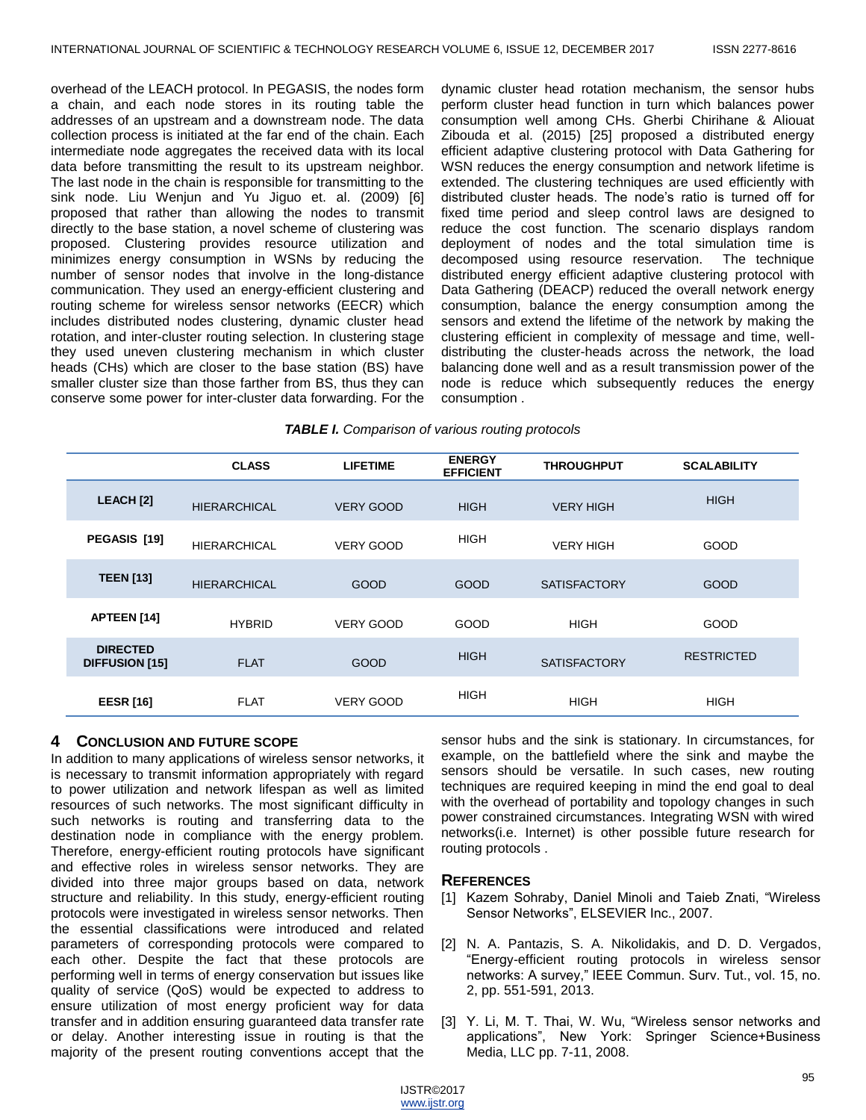overhead of the LEACH protocol. In PEGASIS, the nodes form a chain, and each node stores in its routing table the addresses of an upstream and a downstream node. The data collection process is initiated at the far end of the chain. Each intermediate node aggregates the received data with its local data before transmitting the result to its upstream neighbor. The last node in the chain is responsible for transmitting to the sink node. Liu Wenjun and Yu Jiguo et. al. (2009) [6] proposed that rather than allowing the nodes to transmit directly to the base station, a novel scheme of clustering was proposed. Clustering provides resource utilization and minimizes energy consumption in WSNs by reducing the number of sensor nodes that involve in the long-distance communication. They used an energy-efficient clustering and routing scheme for wireless sensor networks (EECR) which includes distributed nodes clustering, dynamic cluster head rotation, and inter-cluster routing selection. In clustering stage they used uneven clustering mechanism in which cluster heads (CHs) which are closer to the base station (BS) have smaller cluster size than those farther from BS, thus they can conserve some power for inter-cluster data forwarding. For the

dynamic cluster head rotation mechanism, the sensor hubs perform cluster head function in turn which balances power consumption well among CHs. Gherbi Chirihane & Aliouat Zibouda et al. (2015) [25] proposed a distributed energy efficient adaptive clustering protocol with Data Gathering for WSN reduces the energy consumption and network lifetime is extended. The clustering techniques are used efficiently with distributed cluster heads. The node's ratio is turned off for fixed time period and sleep control laws are designed to reduce the cost function. The scenario displays random deployment of nodes and the total simulation time is decomposed using resource reservation. The technique distributed energy efficient adaptive clustering protocol with Data Gathering (DEACP) reduced the overall network energy consumption, balance the energy consumption among the sensors and extend the lifetime of the network by making the clustering efficient in complexity of message and time, welldistributing the cluster-heads across the network, the load balancing done well and as a result transmission power of the node is reduce which subsequently reduces the energy consumption .

| <b>TABLE I.</b> Comparison of various routing protocols |  |  |
|---------------------------------------------------------|--|--|
|                                                         |  |  |

|                                          | <b>CLASS</b>        | <b>LIFETIME</b>  | <b>ENERGY</b><br><b>EFFICIENT</b> | <b>THROUGHPUT</b>   | <b>SCALABILITY</b> |
|------------------------------------------|---------------------|------------------|-----------------------------------|---------------------|--------------------|
| LEACH [2]                                | <b>HIERARCHICAL</b> | <b>VERY GOOD</b> | <b>HIGH</b>                       | <b>VERY HIGH</b>    | <b>HIGH</b>        |
| PEGASIS [19]                             | <b>HIERARCHICAL</b> | <b>VERY GOOD</b> | <b>HIGH</b>                       | <b>VERY HIGH</b>    | <b>GOOD</b>        |
| <b>TEEN [13]</b>                         | <b>HIERARCHICAL</b> | <b>GOOD</b>      | <b>GOOD</b>                       | <b>SATISFACTORY</b> | <b>GOOD</b>        |
| <b>APTEEN [14]</b>                       | <b>HYBRID</b>       | <b>VERY GOOD</b> | <b>GOOD</b>                       | <b>HIGH</b>         | GOOD               |
| <b>DIRECTED</b><br><b>DIFFUSION [15]</b> | <b>FLAT</b>         | GOOD             | <b>HIGH</b>                       | <b>SATISFACTORY</b> | <b>RESTRICTED</b>  |
| <b>EESR</b> [16]                         | <b>FLAT</b>         | <b>VERY GOOD</b> | <b>HIGH</b>                       | <b>HIGH</b>         | HIGH               |

# **4 CONCLUSION AND FUTURE SCOPE**

In addition to many applications of wireless sensor networks, it is necessary to transmit information appropriately with regard to power utilization and network lifespan as well as limited resources of such networks. The most significant difficulty in such networks is routing and transferring data to the destination node in compliance with the energy problem. Therefore, energy-efficient routing protocols have significant and effective roles in wireless sensor networks. They are divided into three major groups based on data, network structure and reliability. In this study, energy-efficient routing protocols were investigated in wireless sensor networks. Then the essential classifications were introduced and related parameters of corresponding protocols were compared to each other. Despite the fact that these protocols are performing well in terms of energy conservation but issues like quality of service (QoS) would be expected to address to ensure utilization of most energy proficient way for data transfer and in addition ensuring guaranteed data transfer rate or delay. Another interesting issue in routing is that the majority of the present routing conventions accept that the

sensor hubs and the sink is stationary. In circumstances, for example, on the battlefield where the sink and maybe the sensors should be versatile. In such cases, new routing techniques are required keeping in mind the end goal to deal with the overhead of portability and topology changes in such power constrained circumstances. Integrating WSN with wired networks(i.e. Internet) is other possible future research for routing protocols .

# **REFERENCES**

- [1] Kazem Sohraby, Daniel Minoli and Taieb Znati, "Wireless Sensor Networks", ELSEVIER Inc., 2007.
- [2] N. A. Pantazis, S. A. Nikolidakis, and D. D. Vergados, "Energy-efficient routing protocols in wireless sensor networks: A survey," IEEE Commun. Surv. Tut., vol. 15, no. 2, pp. 551-591, 2013.
- [3] Y. Li, M. T. Thai, W. Wu, "Wireless sensor networks and applications", New York: Springer Science+Business Media, LLC pp. 7-11, 2008.